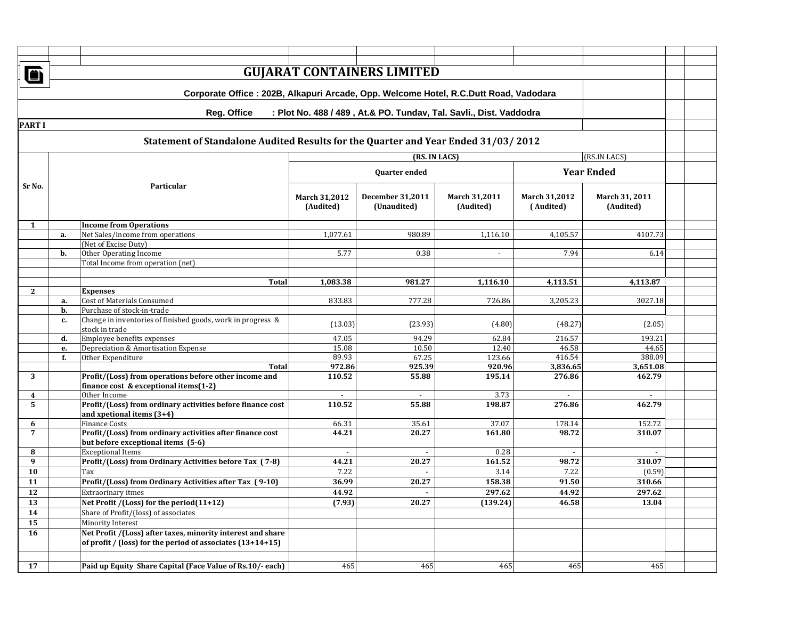|               | <b>GUJARAT CONTAINERS LIMITED</b>                                                     |                                                                                                 |                            |                                                                    |                            |                                   |                             |  |  |
|---------------|---------------------------------------------------------------------------------------|-------------------------------------------------------------------------------------------------|----------------------------|--------------------------------------------------------------------|----------------------------|-----------------------------------|-----------------------------|--|--|
|               |                                                                                       |                                                                                                 |                            |                                                                    |                            |                                   |                             |  |  |
|               | Corporate Office : 202B, Alkapuri Arcade, Opp. Welcome Hotel, R.C.Dutt Road, Vadodara |                                                                                                 |                            |                                                                    |                            |                                   |                             |  |  |
|               |                                                                                       |                                                                                                 |                            |                                                                    |                            |                                   |                             |  |  |
|               |                                                                                       | <b>Reg. Office</b>                                                                              |                            | : Plot No. 488 / 489, At.& PO. Tundav, Tal. Savli., Dist. Vaddodra |                            |                                   |                             |  |  |
| <b>PART I</b> |                                                                                       |                                                                                                 |                            |                                                                    |                            |                                   |                             |  |  |
|               |                                                                                       | Statement of Standalone Audited Results for the Quarter and Year Ended 31/03/2012               |                            |                                                                    |                            |                                   |                             |  |  |
|               |                                                                                       |                                                                                                 |                            | (RS. IN LACS)                                                      |                            |                                   | (RS.IN LACS)                |  |  |
|               |                                                                                       |                                                                                                 |                            |                                                                    |                            |                                   |                             |  |  |
|               |                                                                                       |                                                                                                 |                            | Quarter ended                                                      |                            | <b>Year Ended</b>                 |                             |  |  |
| Sr No.        |                                                                                       | Particular                                                                                      | March 31,2012<br>(Audited) | <b>December 31,2011</b><br>(Unaudited)                             | March 31,2011<br>(Audited) | <b>March 31,2012</b><br>(Audited) | March 31, 2011<br>(Audited) |  |  |
| 1             |                                                                                       | <b>Income from Operations</b>                                                                   |                            |                                                                    |                            |                                   |                             |  |  |
|               | a.                                                                                    | Net Sales/Income from operations                                                                | 1,077.61                   | 980.89                                                             | 1,116.10                   | 4,105.57                          | 4107.73                     |  |  |
|               |                                                                                       | (Net of Excise Duty)                                                                            |                            |                                                                    |                            |                                   |                             |  |  |
|               | b.                                                                                    | Other Operating Income                                                                          | 5.77                       | 0.38                                                               | $\overline{\phantom{a}}$   | 7.94                              | 6.14                        |  |  |
|               |                                                                                       | Total Income from operation (net)                                                               |                            |                                                                    |                            |                                   |                             |  |  |
|               |                                                                                       |                                                                                                 |                            |                                                                    |                            | 4,113.51                          |                             |  |  |
| $\mathbf{2}$  |                                                                                       | Total<br><b>Expenses</b>                                                                        | 1,083.38                   | 981.27                                                             | 1,116.10                   |                                   | 4,113.87                    |  |  |
|               | a.                                                                                    | <b>Cost of Materials Consumed</b>                                                               | 833.83                     | 777.28                                                             | 726.86                     | 3,205.23                          | 3027.18                     |  |  |
|               | b.                                                                                    | Purchase of stock-in-trade                                                                      |                            |                                                                    |                            |                                   |                             |  |  |
|               | c.                                                                                    | Change in inventories of finished goods, work in progress &<br>stock in trade                   | (13.03)                    | (23.93)                                                            | (4.80)                     | (48.27)                           | (2.05)                      |  |  |
|               | d.                                                                                    | Employee benefits expenses                                                                      | 47.05                      | 94.29                                                              | 62.84                      | 216.57                            | 193.21                      |  |  |
|               | е.                                                                                    | Depreciation & Amortisation Expense                                                             | 15.08                      | 10.50                                                              | 12.40                      | 46.58                             | 44.65                       |  |  |
|               | f.                                                                                    | Other Expenditure                                                                               | 89.93                      | 67.25                                                              | 123.66                     | 416.54                            | 388.09                      |  |  |
|               |                                                                                       | Total                                                                                           | 972.86                     | 925.39                                                             | 920.96                     | 3,836.65                          | 3,651.08                    |  |  |
| 3             |                                                                                       | Profit/(Loss) from operations before other income and                                           | 110.52                     | 55.88                                                              | 195.14                     | 276.86                            | 462.79                      |  |  |
| 4             |                                                                                       | finance cost & exceptional items(1-2)<br>Other Income                                           | $\sim$                     |                                                                    | 3.73                       |                                   |                             |  |  |
| 5             |                                                                                       | Profit/(Loss) from ordinary activities before finance cost                                      | 110.52                     | $\sim$<br>55.88                                                    | 198.87                     | 276.86                            | $\sim$<br>462.79            |  |  |
|               |                                                                                       | and xpetional items $(3+4)$                                                                     |                            |                                                                    |                            |                                   |                             |  |  |
| 6             |                                                                                       | <b>Finance Costs</b>                                                                            | 66.31                      | 35.61                                                              | 37.07                      | 178.14                            | 152.72                      |  |  |
| 7             |                                                                                       | Profit/(Loss) from ordinary activities after finance cost<br>but before exceptional items (5-6) | 44.21                      | 20.27                                                              | 161.80                     | 98.72                             | 310.07                      |  |  |
| 8             |                                                                                       | <b>Exceptional Items</b>                                                                        |                            |                                                                    | 0.28                       |                                   |                             |  |  |
| 9             |                                                                                       | Profit/(Loss) from Ordinary Activities before Tax (7-8)                                         | 44.21                      | 20.27                                                              | 161.52                     | 98.72                             | 310.07                      |  |  |
| 10            |                                                                                       | Гах                                                                                             | 7.22                       |                                                                    | 3.14                       | 7.22                              | (0.59)                      |  |  |
| 11            |                                                                                       | Profit/(Loss) from Ordinary Activities after Tax (9-10)                                         | 36.99                      | 20.27                                                              | 158.38                     | 91.50                             | 310.66                      |  |  |
| 12            |                                                                                       | Extraorinary itmes                                                                              | 44.92                      | $\blacksquare$                                                     | 297.62                     | 44.92                             | 297.62                      |  |  |
| 13            |                                                                                       | Net Profit /(Loss) for the period(11+12)                                                        | (7.93)                     | 20.27                                                              | (139.24)                   | 46.58                             | 13.04                       |  |  |
| 14            |                                                                                       | Share of Profit/(loss) of associates                                                            |                            |                                                                    |                            |                                   |                             |  |  |
| 15            |                                                                                       | Minority Interest                                                                               |                            |                                                                    |                            |                                   |                             |  |  |
| 16            |                                                                                       | Net Profit /(Loss) after taxes, minority interest and share                                     |                            |                                                                    |                            |                                   |                             |  |  |
|               |                                                                                       | of profit / (loss) for the period of associates $(13+14+15)$                                    |                            |                                                                    |                            |                                   |                             |  |  |
|               |                                                                                       |                                                                                                 |                            |                                                                    |                            |                                   |                             |  |  |
| 17            |                                                                                       | Paid up Equity Share Capital (Face Value of Rs.10/-each)                                        | 465                        | 465                                                                | 465                        | 465                               | 465                         |  |  |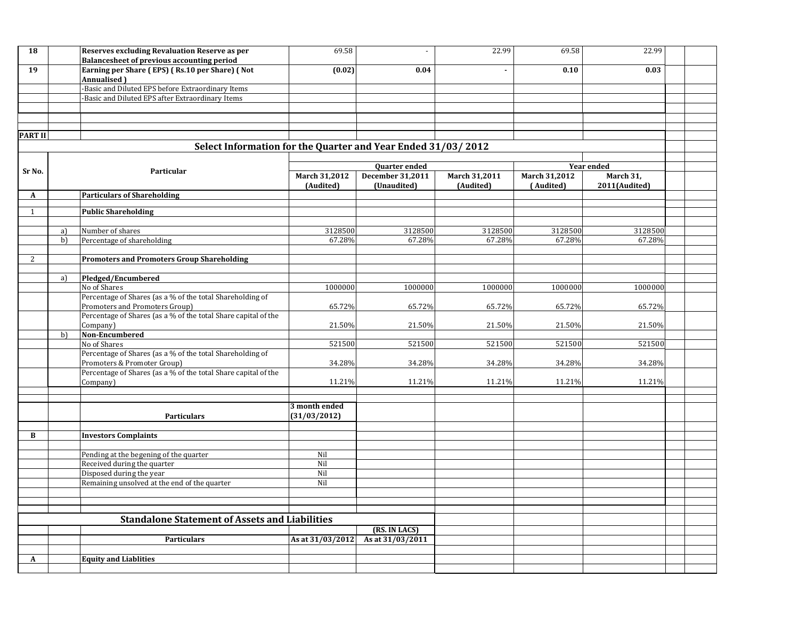| 18             |    | Reserves excluding Revaluation Reserve as per<br><b>Balancesheet of previous accounting period</b> | 69.58                       |                                   | 22.99          | 69.58         | 22.99         |  |
|----------------|----|----------------------------------------------------------------------------------------------------|-----------------------------|-----------------------------------|----------------|---------------|---------------|--|
| 19             |    | Earning per Share (EPS) (Rs.10 per Share) (Not                                                     | (0.02)                      | 0.04                              | $\blacksquare$ | 0.10          | 0.03          |  |
|                |    | Annualised)                                                                                        |                             |                                   |                |               |               |  |
|                |    | Basic and Diluted EPS before Extraordinary Items                                                   |                             |                                   |                |               |               |  |
|                |    | Basic and Diluted EPS after Extraordinary Items                                                    |                             |                                   |                |               |               |  |
|                |    |                                                                                                    |                             |                                   |                |               |               |  |
|                |    |                                                                                                    |                             |                                   |                |               |               |  |
| <b>PART II</b> |    |                                                                                                    |                             |                                   |                |               |               |  |
|                |    |                                                                                                    |                             |                                   |                |               |               |  |
|                |    | Select Information for the Quarter and Year Ended 31/03/2012                                       |                             |                                   |                |               |               |  |
|                |    |                                                                                                    | Year ended<br>Quarter ended |                                   |                |               |               |  |
| Sr No.         |    | Particular                                                                                         | March 31,2012               | December 31,2011                  | March 31,2011  | March 31,2012 | March 31,     |  |
|                |    |                                                                                                    | (Audited)                   | (Unaudited)                       | (Audited)      | (Audited)     | 2011(Audited) |  |
| A              |    | <b>Particulars of Shareholding</b>                                                                 |                             |                                   |                |               |               |  |
|                |    |                                                                                                    |                             |                                   |                |               |               |  |
| 1              |    | <b>Public Shareholding</b>                                                                         |                             |                                   |                |               |               |  |
|                | a) | Number of shares                                                                                   | 3128500                     | 3128500                           | 3128500        | 3128500       | 3128500       |  |
|                | b) | Percentage of shareholding                                                                         | 67.28%                      | 67.28%                            | 67.28%         | 67.28%        | 67.28%        |  |
|                |    |                                                                                                    |                             |                                   |                |               |               |  |
| 2              |    | <b>Promoters and Promoters Group Shareholding</b>                                                  |                             |                                   |                |               |               |  |
|                |    |                                                                                                    |                             |                                   |                |               |               |  |
|                | a) | Pledged/Encumbered                                                                                 |                             |                                   |                |               |               |  |
|                |    | No of Shares                                                                                       | 1000000                     | 1000000                           | 1000000        | 1000000       | 1000000       |  |
|                |    | Percentage of Shares (as a % of the total Shareholding of                                          |                             |                                   |                |               |               |  |
|                |    | Promoters and Promoters Group)<br>Percentage of Shares (as a % of the total Share capital of the   | 65.72%                      | 65.72%                            | 65.72%         | 65.72%        | 65.72%        |  |
|                |    | Company)                                                                                           | 21.50%                      | 21.50%                            | 21.50%         | 21.50%        | 21.50%        |  |
|                | b) | Non-Encumbered                                                                                     |                             |                                   |                |               |               |  |
|                |    | No of Shares                                                                                       | 521500                      | 521500                            | 521500         | 521500        | 521500        |  |
|                |    | Percentage of Shares (as a % of the total Shareholding of                                          |                             |                                   |                |               |               |  |
|                |    | Promoters & Promoter Group)                                                                        | 34.28%                      | 34.28%                            | 34.28%         | 34.28%        | 34.28%        |  |
|                |    | Percentage of Shares (as a % of the total Share capital of the                                     |                             |                                   |                |               |               |  |
|                |    | Company)                                                                                           | 11.21%                      | 11.21%                            | 11.21%         | 11.21%        | 11.21%        |  |
|                |    |                                                                                                    |                             |                                   |                |               |               |  |
|                |    |                                                                                                    | 3 month ended               |                                   |                |               |               |  |
|                |    | <b>Particulars</b>                                                                                 | (31/03/2012)                |                                   |                |               |               |  |
|                |    |                                                                                                    |                             |                                   |                |               |               |  |
| B              |    | <b>Investors Complaints</b>                                                                        |                             |                                   |                |               |               |  |
|                |    | Pending at the begening of the quarter                                                             | Nil                         |                                   |                |               |               |  |
|                |    | Received during the quarter                                                                        | Nil                         |                                   |                |               |               |  |
|                |    | Disposed during the year                                                                           | Nil                         |                                   |                |               |               |  |
|                |    | Remaining unsolved at the end of the quarter                                                       | Nil                         |                                   |                |               |               |  |
|                |    |                                                                                                    |                             |                                   |                |               |               |  |
|                |    |                                                                                                    |                             |                                   |                |               |               |  |
|                |    |                                                                                                    |                             |                                   |                |               |               |  |
|                |    | <b>Standalone Statement of Assets and Liabilities</b>                                              |                             |                                   |                |               |               |  |
|                |    |                                                                                                    |                             | (RS. IN LACS)<br>As at 31/03/2011 |                |               |               |  |
|                |    | <b>Particulars</b>                                                                                 | As at 31/03/2012            |                                   |                |               |               |  |
| A              |    | <b>Equity and Liablities</b>                                                                       |                             |                                   |                |               |               |  |
|                |    |                                                                                                    |                             |                                   |                |               |               |  |
|                |    |                                                                                                    |                             |                                   |                |               |               |  |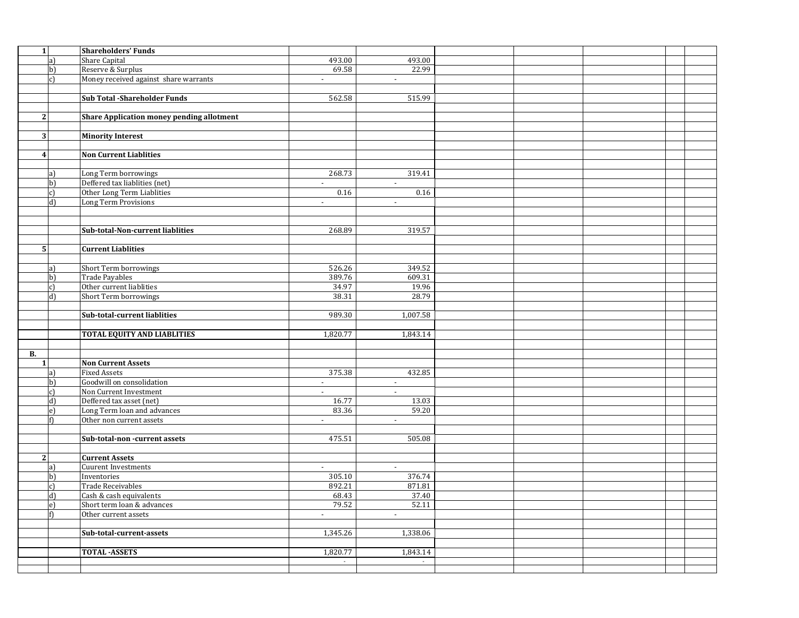| $\overline{1}$          |                | <b>Shareholders' Funds</b>                       |                             |                             |  |  |
|-------------------------|----------------|--------------------------------------------------|-----------------------------|-----------------------------|--|--|
|                         | a)             | Share Capital                                    | 493.00                      | 493.00                      |  |  |
|                         | b)             | Reserve & Surplus                                | 69.58                       | 22.99                       |  |  |
|                         | c)             | Money received against share warrants            | $\mathcal{L}$               | $\mathcal{L}_{\mathcal{A}}$ |  |  |
|                         |                |                                                  |                             |                             |  |  |
|                         |                | <b>Sub Total -Shareholder Funds</b>              | 562.58                      | 515.99                      |  |  |
|                         |                |                                                  |                             |                             |  |  |
| $\overline{2}$          |                | <b>Share Application money pending allotment</b> |                             |                             |  |  |
|                         |                |                                                  |                             |                             |  |  |
| $\overline{\mathbf{3}}$ |                | <b>Minority Interest</b>                         |                             |                             |  |  |
|                         |                |                                                  |                             |                             |  |  |
| $\boldsymbol{4}$        |                | <b>Non Current Liablities</b>                    |                             |                             |  |  |
|                         |                |                                                  |                             |                             |  |  |
|                         | a)             | Long Term borrowings                             | 268.73                      | 319.41                      |  |  |
|                         | b)             | Deffered tax liablities (net)                    | $\mathcal{L}_{\mathcal{A}}$ | $\blacksquare$              |  |  |
|                         | $\mathbf{c}$   | Other Long Term Liablities                       | 0.16                        | 0.16                        |  |  |
|                         | d              | Long Term Provisions                             | $\omega$                    | $\omega$                    |  |  |
|                         |                |                                                  |                             |                             |  |  |
|                         |                |                                                  |                             |                             |  |  |
|                         |                | Sub-total-Non-current liablities                 | 268.89                      | 319.57                      |  |  |
|                         |                |                                                  |                             |                             |  |  |
| 5 <sup>1</sup>          |                | <b>Current Liablities</b>                        |                             |                             |  |  |
|                         |                |                                                  |                             |                             |  |  |
|                         | a)             | Short Term borrowings                            | 526.26                      | 349.52                      |  |  |
|                         | b)             | <b>Trade Payables</b>                            | 389.76                      | 609.31                      |  |  |
|                         | $\mathbf{c}$   | Other current liablities                         | 34.97                       | 19.96                       |  |  |
|                         | d)             | Short Term borrowings                            | 38.31                       | 28.79                       |  |  |
|                         |                |                                                  |                             |                             |  |  |
|                         |                | Sub-total-current liablities                     | 989.30                      | 1,007.58                    |  |  |
|                         |                |                                                  |                             |                             |  |  |
|                         |                | TOTAL EQUITY AND LIABLITIES                      | 1,820.77                    | 1,843.14                    |  |  |
|                         |                |                                                  |                             |                             |  |  |
| В.                      |                |                                                  |                             |                             |  |  |
| $1\overline{1}$         |                | <b>Non Current Assets</b>                        |                             |                             |  |  |
|                         | a)             | <b>Fixed Assets</b>                              | 375.38                      | 432.85                      |  |  |
|                         | b)             | Goodwill on consolidation                        | $\omega$                    | $\mathcal{L}_{\mathcal{C}}$ |  |  |
|                         | c)             | Non Current Investment                           | $\blacksquare$              | $\blacksquare$              |  |  |
|                         | $\overline{d}$ | Deffered tax asset (net)                         | 16.77                       | 13.03                       |  |  |
|                         | e              | Long Term loan and advances                      | 83.36                       | 59.20                       |  |  |
|                         | f)             | Other non current assets                         | $\blacksquare$              | $\blacksquare$              |  |  |
|                         |                |                                                  |                             |                             |  |  |
|                         |                | Sub-total-non -current assets                    | 475.51                      | 505.08                      |  |  |
|                         |                |                                                  |                             |                             |  |  |
| $\overline{2}$          |                | <b>Current Assets</b>                            |                             |                             |  |  |
|                         | a)             | <b>Cuurent Investments</b>                       | $\omega$                    | $\sim$                      |  |  |
|                         | b)             | Inventories                                      | 305.10                      | 376.74                      |  |  |
|                         |                | Trade Receivables                                | 892.21                      | 871.81                      |  |  |
|                         | d              | Cash & cash equivalents                          | 68.43                       | 37.40                       |  |  |
|                         | e)             | Short term loan & advances                       | 79.52                       | 52.11                       |  |  |
|                         |                | Other current assets                             | $\omega$                    | $\sim$                      |  |  |
|                         |                |                                                  |                             |                             |  |  |
|                         |                | Sub-total-current-assets                         | 1,345.26                    | 1,338.06                    |  |  |
|                         |                |                                                  |                             |                             |  |  |
|                         |                | <b>TOTAL-ASSETS</b>                              | 1,820.77                    | 1,843.14                    |  |  |
|                         |                |                                                  | $\sim$                      | $\sim$                      |  |  |
|                         |                |                                                  |                             |                             |  |  |